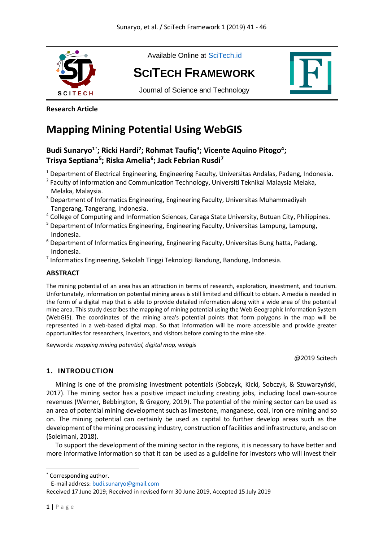

Available Online at [SciTech.id](http://scitech.id/)

# **SCIT[ECH](http://scitech.id/index.php/framework) FRAMEWORK**

Journal of Science and Technology



## **Research Article**

## **Mapping Mining Potential Using WebGIS**

## Budi Sunaryo<sup>1\*</sup>; Ricki Hardi<sup>2</sup>; Rohmat Taufiq<sup>3</sup>; Vicente Aquino Pitogo<sup>4</sup>; **Trisya Septiana<sup>5</sup> ; Riska Amelia<sup>6</sup> ; Jack Febrian Rusdi<sup>7</sup>**

- <sup>1</sup> Department of Electrical Engineering, Engineering Faculty, Universitas Andalas, Padang, Indonesia.
- <sup>2</sup> Faculty of Information and Communication Technology, Universiti Teknikal Malaysia Melaka, Melaka, Malaysia.
- <sup>3</sup> Department of Informatics Engineering, Engineering Faculty, Universitas Muhammadiyah Tangerang, Tangerang, Indonesia.
- <sup>4</sup> College of Computing and Information Sciences, Caraga State University, Butuan City, Philippines.
- <sup>5</sup> Department of Informatics Engineering, Engineering Faculty, Universitas Lampung, Lampung, Indonesia.
- $6$  Department of Informatics Engineering, Engineering Faculty, Universitas Bung hatta, Padang, Indonesia.
- <sup>7</sup> Informatics Engineering, Sekolah Tinggi Teknologi Bandung, Bandung, Indonesia.

## **ABSTRACT**

The mining potential of an area has an attraction in terms of research, exploration, investment, and tourism. Unfortunately, information on potential mining areas is still limited and difficult to obtain. A media is needed in the form of a digital map that is able to provide detailed information along with a wide area of the potential mine area. This study describes the mapping of mining potential using the Web Geographic Information System (WebGIS). The coordinates of the mining area's potential points that form polygons in the map will be represented in a web-based digital map. So that information will be more accessible and provide greater opportunities for researchers, investors, and visitors before coming to the mine site.

Keywords: *mapping mining potential, digital map, webgis*

@2019 Scitech

## **1. INTRODUCTION**

Mining is one of the promising investment potentials (Sobczyk, Kicki, Sobczyk, & Szuwarzyński, 2017). The mining sector has a positive impact including creating jobs, including local own-source revenues (Werner, Bebbington, & Gregory, 2019). The potential of the mining sector can be used as an area of potential mining development such as limestone, manganese, coal, iron ore mining and so on. The mining potential can certainly be used as capital to further develop areas such as the development of the mining processing industry, construction of facilities and infrastructure, and so on (Soleimani, 2018).

To support the development of the mining sector in the regions, it is necessary to have better and more informative information so that it can be used as a guideline for investors who will invest their

-

<sup>\*</sup> Corresponding author.

E-mail address[: budi.sunaryo@gmail.com](mailto:budi.sunaryo@gmail.com)

Received 17 June 2019; Received in revised form 30 June 2019, Accepted 15 July 2019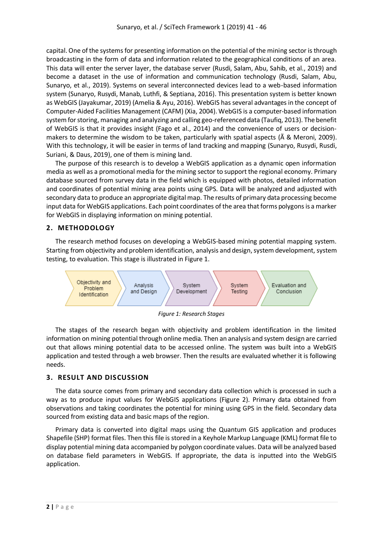capital. One of the systems for presenting information on the potential of the mining sector is through broadcasting in the form of data and information related to the geographical conditions of an area. This data will enter the server layer, the database server (Rusdi, Salam, Abu, Sahib, et al., 2019) and become a dataset in the use of information and communication technology (Rusdi, Salam, Abu, Sunaryo, et al., 2019). Systems on several interconnected devices lead to a web-based information system (Sunaryo, Rusydi, Manab, Luthfi, & Septiana, 2016). This presentation system is better known as WebGIS (Jayakumar, 2019) (Amelia & Ayu, 2016). WebGIS has several advantages in the concept of Computer-Aided Facilities Management (CAFM) (Xia, 2004). WebGIS is a computer-based information system for storing, managing and analyzing and calling geo-referenced data (Taufiq, 2013). The benefit of WebGIS is that it provides insight (Fago et al., 2014) and the convenience of users or decisionmakers to determine the wisdom to be taken, particularly with spatial aspects (Ã & Meroni, 2009). With this technology, it will be easier in terms of land tracking and mapping (Sunaryo, Rusydi, Rusdi, Suriani, & Daus, 2019), one of them is mining land.

The purpose of this research is to develop a WebGIS application as a dynamic open information media as well as a promotional media for the mining sector to support the regional economy. Primary database sourced from survey data in the field which is equipped with photos, detailed information and coordinates of potential mining area points using GPS. Data will be analyzed and adjusted with secondary data to produce an appropriate digital map. The results of primary data processing become input data for WebGIS applications. Each point coordinates of the area that forms polygons is a marker for WebGIS in displaying information on mining potential.

### **2. METHODOLOGY**

The research method focuses on developing a WebGIS-based mining potential mapping system. Starting from objectivity and problem identification, analysis and design, system development, system testing, to evaluation. This stage is illustrated in Figure 1.



*Figure 1: Research Stages*

The stages of the research began with objectivity and problem identification in the limited information on mining potential through online media. Then an analysis and system design are carried out that allows mining potential data to be accessed online. The system was built into a WebGIS application and tested through a web browser. Then the results are evaluated whether it is following needs.

### **3. RESULT AND DISCUSSION**

The data source comes from primary and secondary data collection which is processed in such a way as to produce input values for WebGIS applications (Figure 2). Primary data obtained from observations and taking coordinates the potential for mining using GPS in the field. Secondary data sourced from existing data and basic maps of the region.

Primary data is converted into digital maps using the Quantum GIS application and produces Shapefile (SHP) format files. Then this file is stored in a Keyhole Markup Language (KML) format file to display potential mining data accompanied by polygon coordinate values. Data will be analyzed based on database field parameters in WebGIS. If appropriate, the data is inputted into the WebGIS application.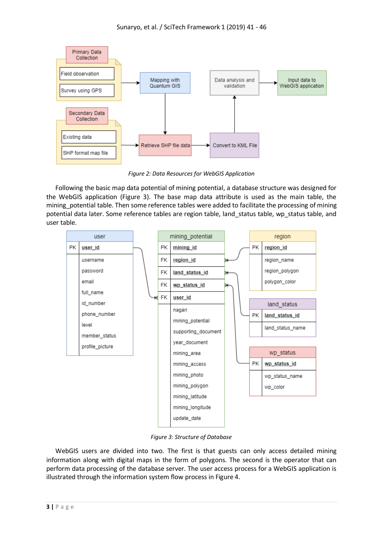

*Figure 2: Data Resources for WebGIS Application*

Following the basic map data potential of mining potential, a database structure was designed for the WebGIS application (Figure 3). The base map data attribute is used as the main table, the mining potential table. Then some reference tables were added to facilitate the processing of mining potential data later. Some reference tables are region table, land\_status table, wp\_status table, and user table.



*Figure 3: Structure of Database*

WebGIS users are divided into two. The first is that guests can only access detailed mining information along with digital maps in the form of polygons. The second is the operator that can perform data processing of the database server. The user access process for a WebGIS application is illustrated through the information system flow process in Figure 4.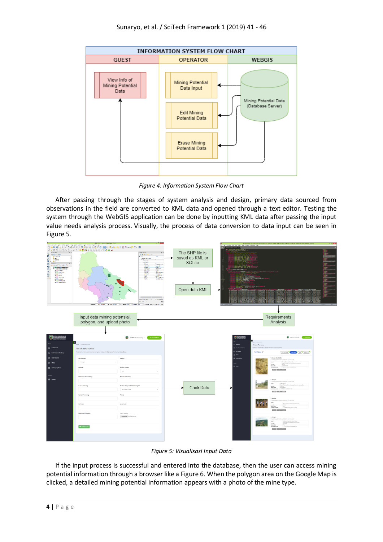

*Figure 4: Information System Flow Chart*

After passing through the stages of system analysis and design, primary data sourced from observations in the field are converted to KML data and opened through a text editor. Testing the system through the WebGIS application can be done by inputting KML data after passing the input value needs analysis process. Visually, the process of data conversion to data input can be seen in Figure 5.



*Figure 5: Visualisasi Input Data*

If the input process is successful and entered into the database, then the user can access mining potential information through a browser like a Figure 6. When the polygon area on the Google Map is clicked, a detailed mining potential information appears with a photo of the mine type.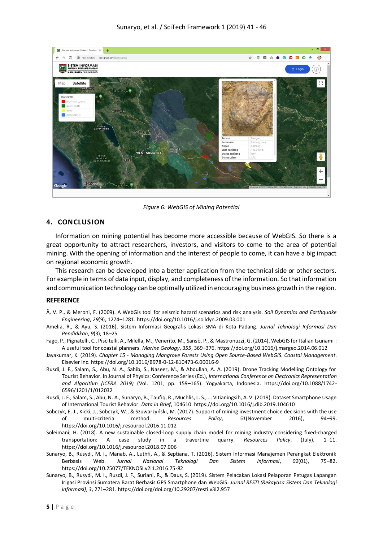

*Figure 6: WebGIS of Mining Potential*

### **4. CONCLUSION**

Information on mining potential has become more accessible because of WebGIS. So there is a great opportunity to attract researchers, investors, and visitors to come to the area of potential mining. With the opening of information and the interest of people to come, it can have a big impact on regional economic growth.

This research can be developed into a better application from the technical side or other sectors. For example in terms of data input, display, and completeness of the information. So that information and communication technology can be optimally utilized in encouraging business growth in the region.

#### **REFERENCE**

- Ã, V. P., & Meroni, F. (2009). A WebGis tool for seismic hazard scenarios and risk analysis. *Soil Dynamics and Earthquake Engineering*, *29*(9), 1274–1281. https://doi.org/10.1016/j.soildyn.2009.03.001
- Amelia, R., & Ayu, S. (2016). Sistem Informasi Geografis Lokasi SMA di Kota Padang. *Jurnal Teknologi Informasi Dan Pendidikan*, *9*(3), 18–25.
- Fago, P., Pignatelli, C., Piscitelli, A., Milella, M., Venerito, M., Sansò, P., & Mastronuzzi, G. (2014). WebGIS for Italian tsunami : A useful tool for coastal planners. *Marine Geology*, *355*, 369–376. https://doi.org/10.1016/j.margeo.2014.06.012

Jayakumar, K. (2019). *Chapter 15 - Managing Mangrove Forests Using Open Source-Based WebGIS*. *Coastal Management*. Elsevier Inc. https://doi.org/10.1016/B978-0-12-810473-6.00016-9

- Rusdi, J. F., Salam, S., Abu, N. A., Sahib, S., Naseer, M., & Abdullah, A. A. (2019). Drone Tracking Modelling Ontology for Tourist Behavior. In Journal of Physics: Conference Series (Ed.), *International Conference on Electronics Representation and Algorithm (ICERA 2019)* (Vol. 1201, pp. 159–165). Yogyakarta, Indonesia. https://doi.org/10.1088/1742- 6596/1201/1/012032
- Rusdi, J. F., Salam, S., Abu, N. A., Sunaryo, B., Taufiq, R., Muchlis, L. S., … Vitianingsih, A. V. (2019). Dataset Smartphone Usage of International Tourist Behavior. *Data in Brief*, 104610. https://doi.org/10.1016/j.dib.2019.104610
- Sobczyk, E. J., Kicki, J., Sobczyk, W., & Szuwarzyński, M. (2017). Support of mining investment choice decisions with the use of multi-criteria method. *Resources Policy*, *51*(November 2016), 94–99. https://doi.org/10.1016/j.resourpol.2016.11.012
- Soleimani, H. (2018). A new sustainable closed-loop supply chain model for mining industry considering fixed-charged transportation: A case study in a travertine quarry. *Resources Policy*, (July), 1–11. https://doi.org/10.1016/j.resourpol.2018.07.006
- Sunaryo, B., Rusydi, M. I., Manab, A., Luthfi, A., & Septiana, T. (2016). Sistem Informasi Manajemen Perangkat Elektronik<br>Berbasis Web. Jurnal Nasional Teknologi Dan Sistem Informasi, 02(01), 75–82. Berbasis Web. *Jurnal Nasional Teknologi Dan Sistem Informasi*, *02*(01), 75–82. https://doi.org/10.25077/TEKNOSI.v2i1.2016.75-82
- Sunaryo, B., Rusydi, M. I., Rusdi, J. F., Suriani, R., & Daus, S. (2019). Sistem Pelacakan Lokasi Pelaporan Petugas Lapangan Irigasi Provinsi Sumatera Barat Berbasis GPS Smartphone dan WebGIS. *Jurnal RESTI (Rekayasa Sistem Dan Teknologi Informasi)*, *3*, 271–281. https://doi.org/doi.org/10.29207/resti.v3i2.957